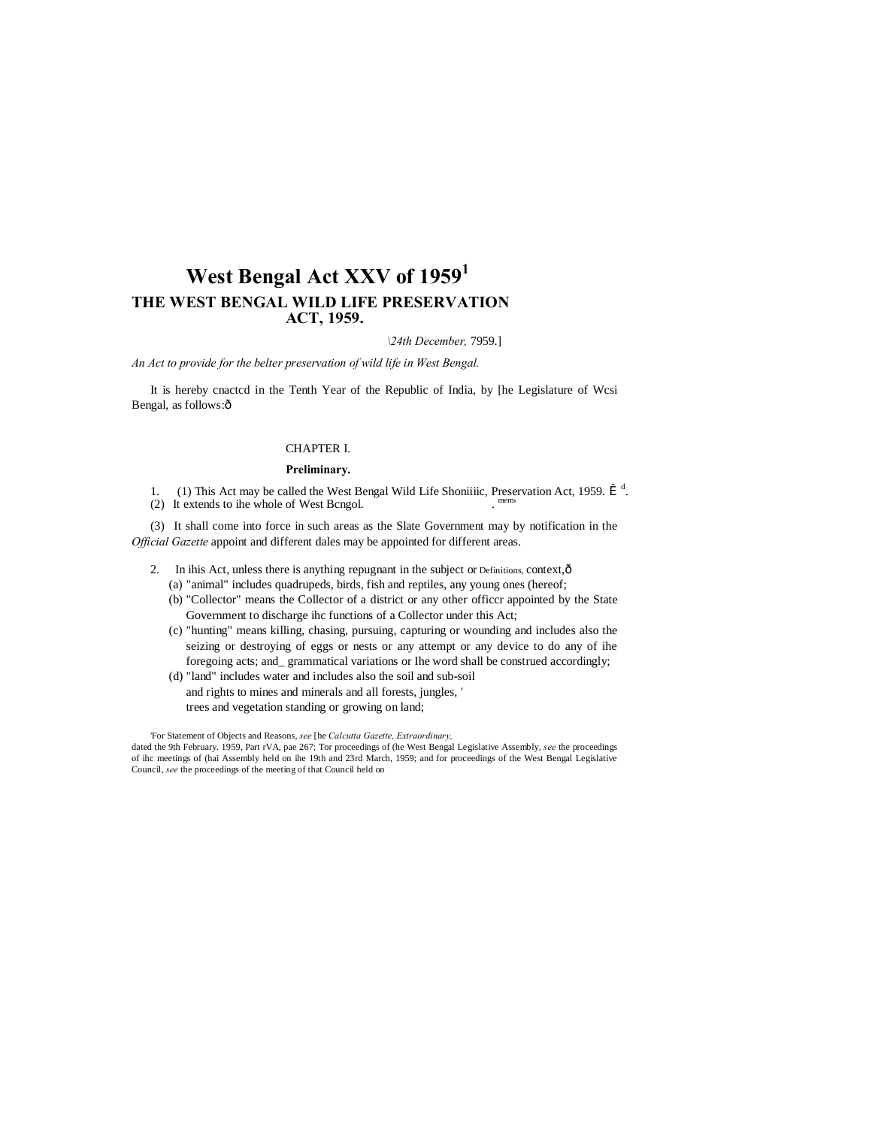# **West Bengal Act XXV of 1959<sup>1</sup> THE WEST BENGAL WILD LIFE PRESERVATION ACT, 1959.**

*\24th December,* 7959.]

*An Act to provide for the belter preservation of wild life in West Bengal.*

It is hereby cnactcd in the Tenth Year of the Republic of India, by [he Legislature of Wcsi Bengal, as follows: $\hat{o}$ 

# CHAPTER I.

#### **Preliminary.**

1. (1) This Act may be called the West Bengal Wild Life Shoniiiic, Preservation Act, 1959.  $\hat{I}$ <sup>d</sup>.

(2) It extends to ihe whole of West Bcngol.

(3) It shall come into force in such areas as the Slate Government may by notification in the *Official Gazette* appoint and different dales may be appointed for different areas.

- 2. In ihis Act, unless there is anything repugnant in the subject or Definitions, context,  $\hat{o}$ 
	- (a) "animal" includes quadrupeds, birds, fish and reptiles, any young ones (hereof;
	- (b) "Collector" means the Collector of a district or any other officcr appointed by the State Government to discharge ihc functions of a Collector under this Act;
	- (c) "hunting" means killing, chasing, pursuing, capturing or wounding and includes also the seizing or destroying of eggs or nests or any attempt or any device to do any of ihe foregoing acts; and\_ grammatical variations or Ihe word shall be construed accordingly;
	- (d) "land" includes water and includes also the soil and sub-soil and rights to mines and minerals and all forests, jungles, ' trees and vegetation standing or growing on land;

'For Statement of Objects and Reasons, *see* [he *Calcutta Gazette, Extraordinary,*

dated the 9th February. 1959, Part rVA, pae 267; Tor proceedings of (he West Bengal Legislative Assembly, *see* the proceedings of ihc meetings of (hai Assembly held on ihe 19th and 23rd March, 1959; and for proceedings of the West Bengal Legislative Council, *see* the proceedings of the meeting of that Council held on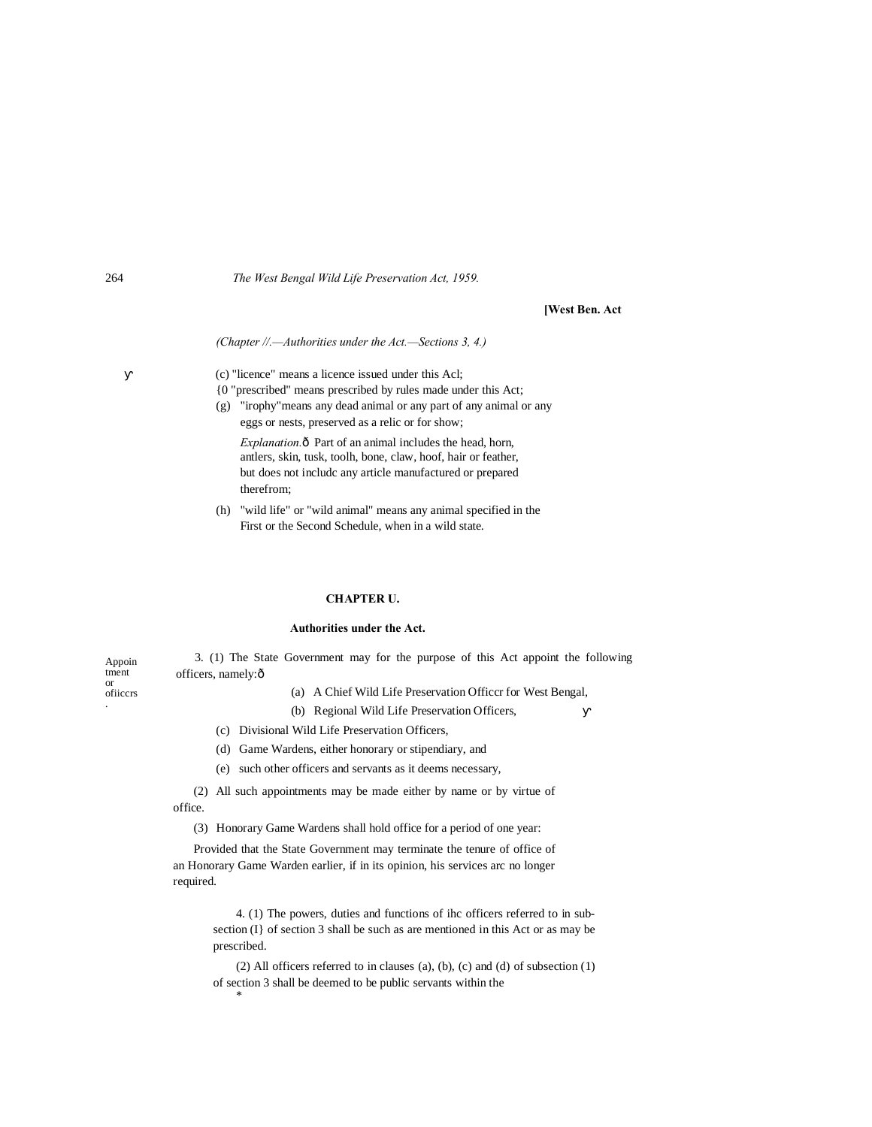# **[West Ben. Act**

*(Chapter //.—Authorities under the Act.—Sections 3, 4.)*

(c) "licence" means a licence issued under this Acl;

- {0 "prescribed" means prescribed by rules made under this Act;
- (g) "irophy"means any dead animal or any part of any animal or any eggs or nests, preserved as a relic or for show;

*Explanation.* $\hat{o}$  Part of an animal includes the head, horn, antlers, skin, tusk, toolh, bone, claw, hoof, hair or feather, but does not includc any article manufactured or prepared therefrom;

(h) "wild life" or "wild animal" means any animal specified in the First or the Second Schedule, when in a wild state.

# **CHAPTER U.**

#### **Authorities under the Act.**

| Appoin         | 3. (1) The State Government may for the purpose of this Act appoint the following |                                                             |  |  |  |  |
|----------------|-----------------------------------------------------------------------------------|-------------------------------------------------------------|--|--|--|--|
| tment          | officers, namely: ô                                                               |                                                             |  |  |  |  |
| or<br>ofiicers |                                                                                   | (a) A Chief Wild Life Preservation Officer for West Bengal. |  |  |  |  |

- (a) A Chief Wild Life Preservation Officcr for West Bengal,
- (b) Regional Wild Life Preservation Officers,
- (c) Divisional Wild Life Preservation Officers,
- (d) Game Wardens, either honorary or stipendiary, and
- (e) such other officers and servants as it deems necessary,

(2) All such appointments may be made either by name or by virtue of office.

(3) Honorary Game Wardens shall hold office for a period of one year:

Provided that the State Government may terminate the tenure of office of an Honorary Game Warden earlier, if in its opinion, his services arc no longer required.

> 4. (1) The powers, duties and functions of ihc officers referred to in subsection (I} of section 3 shall be such as are mentioned in this Act or as may be prescribed.

> (2) All officers referred to in clauses (a), (b), (c) and (d) of subsection (1) of section 3 shall be deemed to be public servants within the \*

.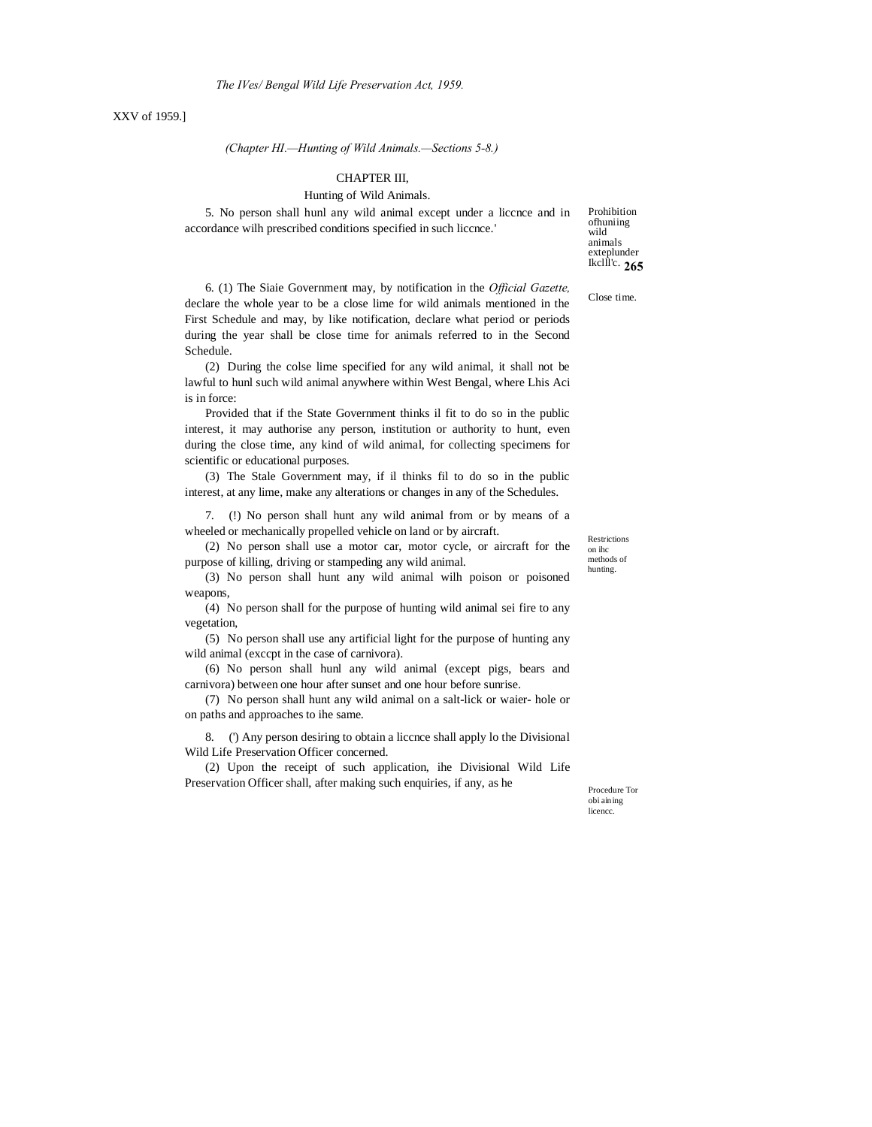## XXV of 1959.]

*(Chapter HI.—Hunting of Wild Animals.—Sections 5-8.)*

### CHAPTER III,

#### Hunting of Wild Animals.

5. No person shall hunl any wild animal except under a liccnce and in accordance wilh prescribed conditions specified in such liccnce.'

**265** Ikclll'c. Prohibition ofhuniing wild animals exteplunder

Close time.

6. (1) The Siaie Government may, by notification in the *Official Gazette,* declare the whole year to be a close lime for wild animals mentioned in the First Schedule and may, by like notification, declare what period or periods during the year shall be close time for animals referred to in the Second Schedule.

(2) During the colse lime specified for any wild animal, it shall not be lawful to hunl such wild animal anywhere within West Bengal, where Lhis Aci is in force:

Provided that if the State Government thinks il fit to do so in the public interest, it may authorise any person, institution or authority to hunt, even during the close time, any kind of wild animal, for collecting specimens for scientific or educational purposes.

(3) The Stale Government may, if il thinks fil to do so in the public interest, at any lime, make any alterations or changes in any of the Schedules.

7. (!) No person shall hunt any wild animal from or by means of a wheeled or mechanically propelled vehicle on land or by aircraft.

(2) No person shall use a motor car, motor cycle, or aircraft for the purpose of killing, driving or stampeding any wild animal.

(3) No person shall hunt any wild animal wilh poison or poisoned weapons,

(4) No person shall for the purpose of hunting wild animal sei fire to any vegetation,

(5) No person shall use any artificial light for the purpose of hunting any wild animal (exccpt in the case of carnivora).

(6) No person shall hunl any wild animal (except pigs, bears and carnivora) between one hour after sunset and one hour before sunrise.

(7) No person shall hunt any wild animal on a salt-lick or waier- hole or on paths and approaches to ihe same.

8. (') Any person desiring to obtain a liccnce shall apply lo the Divisional Wild Life Preservation Officer concerned.

(2) Upon the receipt of such application, ihe Divisional Wild Life Preservation Officer shall, after making such enquiries, if any, as he

Procedure Tor obi aining licencc.

Restrictions on ihc methods of hunting.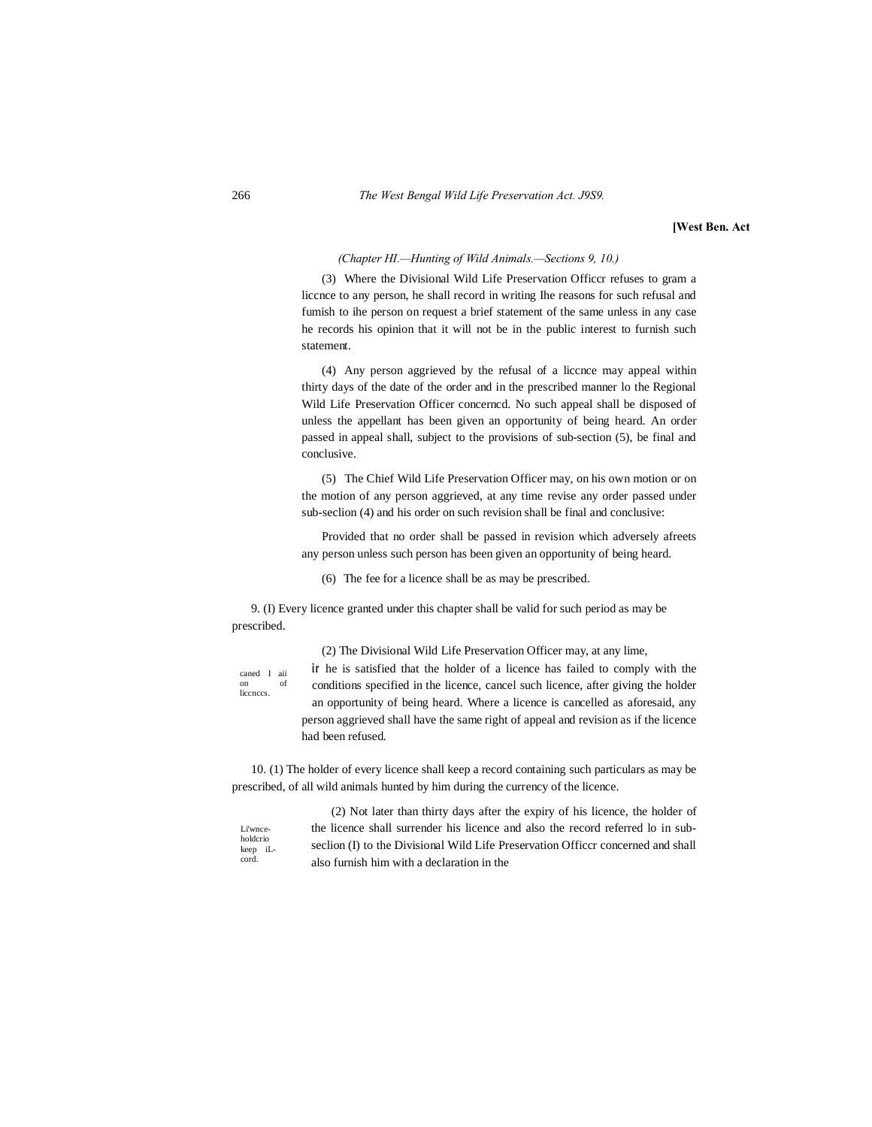**[West Ben. Act**

#### *(Chapter HI.—Hunting of Wild Animals.—Sections 9, 10.)*

(3) Where the Divisional Wild Life Preservation Officcr refuses to gram a liccnce to any person, he shall record in writing Ihe reasons for such refusal and fumish to ihe person on request a brief statement of the same unless in any case he records his opinion that it will not be in the public interest to furnish such statement.

(4) Any person aggrieved by the refusal of a liccnce may appeal within thirty days of the date of the order and in the prescribed manner lo the Regional Wild Life Preservation Officer concerncd. No such appeal shall be disposed of unless the appellant has been given an opportunity of being heard. An order passed in appeal shall, subject to the provisions of sub-section (5), be final and conclusive.

(5) The Chief Wild Life Preservation Officer may, on his own motion or on the motion of any person aggrieved, at any time revise any order passed under sub-seclion (4) and his order on such revision shall be final and conclusive:

Provided that no order shall be passed in revision which adversely afreets any person unless such person has been given an opportunity of being heard.

(6) The fee for a licence shall be as may be prescribed.

9. (I) Every licence granted under this chapter shall be valid for such period as may be prescribed.

caned I aii on of liccnccs.

(2) The Divisional Wild Life Preservation Officer may, at any lime, ir he is satisfied that the holder of a licence has failed to comply with the

conditions specified in the licence, cancel such licence, after giving the holder an opportunity of being heard. Where a licence is cancelled as aforesaid, any person aggrieved shall have the same right of appeal and revision as if the licence had been refused.

10. (1) The holder of every licence shall keep a record containing such particulars as may be prescribed, of all wild animals hunted by him during the currency of the licence.

Li'wnceholdcrio keep iLcord.

(2) Not later than thirty days after the expiry of his licence, the holder of the licence shall surrender his licence and also the record referred lo in subseclion (I) to the Divisional Wild Life Preservation Officer concerned and shall also furnish him with a declaration in the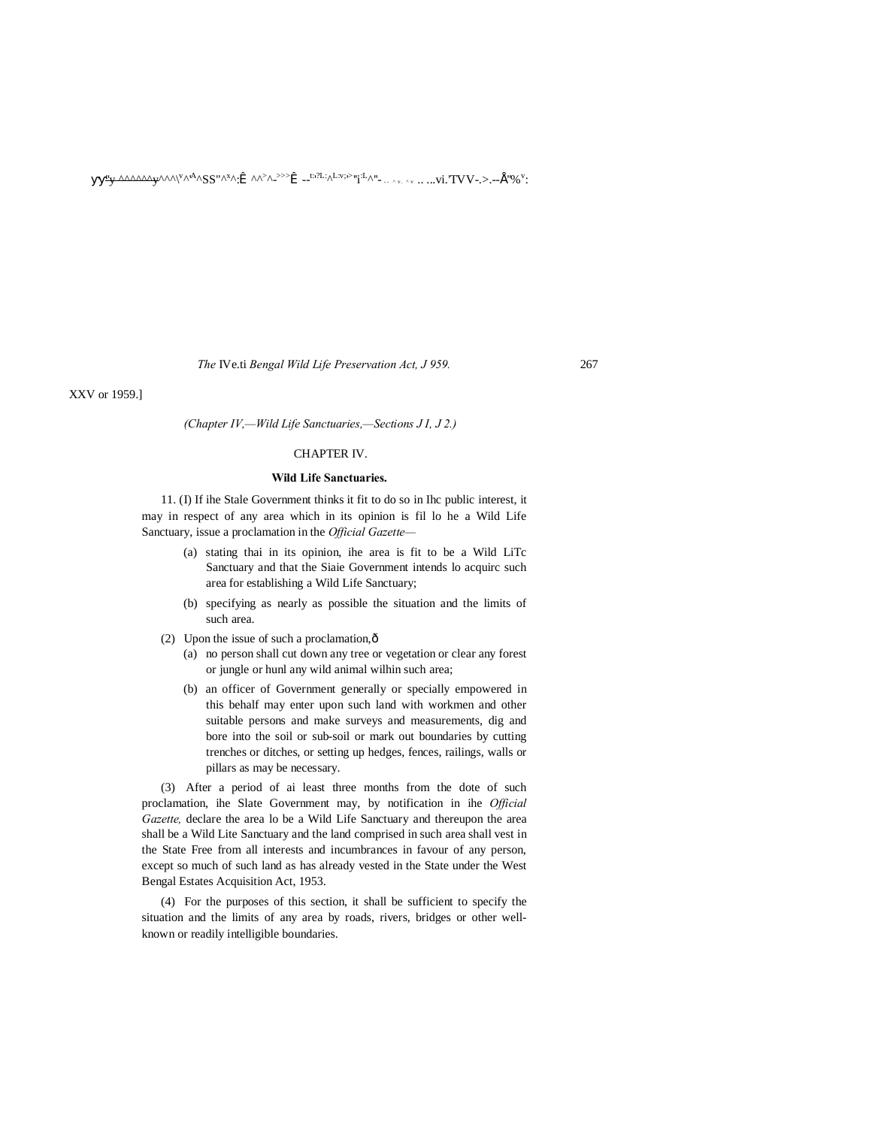■■''y ^^^^^^y^^^\ v ^'A^SS"^x ^:™^^> ^- >>>™--t:' ?L:^L:v;' > ''i:L^''- - - ^ v . ^ v .. ...vi.'TVV-.>.--• ''%<sup>v</sup> :

*The* IVe.ti *Bengal Wild Life Preservation Act, J 959.* 267

XXV or 1959.]

*(Chapter IV,—Wild Life Sanctuaries,—Sections J I, J 2.)*

### CHAPTER IV.

#### **Wild Life Sanctuaries.**

11. (I) If ihe Stale Government thinks it fit to do so in Ihc public interest, it may in respect of any area which in its opinion is fil lo he a Wild Life Sanctuary, issue a proclamation in the *Official Gazette—*

- (a) stating thai in its opinion, ihe area is fit to be a Wild LiTc Sanctuary and that the Siaie Government intends lo acquirc such area for establishing a Wild Life Sanctuary;
- (b) specifying as nearly as possible the situation and the limits of such area.
- (2) Upon the issue of such a proclamation, $\hat{\text{o}}$ 
	- (a) no person shall cut down any tree or vegetation or clear any forest or jungle or hunl any wild animal wilhin such area;
	- (b) an officer of Government generally or specially empowered in this behalf may enter upon such land with workmen and other suitable persons and make surveys and measurements, dig and bore into the soil or sub-soil or mark out boundaries by cutting trenches or ditches, or setting up hedges, fences, railings, walls or pillars as may be necessary.

(3) After a period of ai least three months from the dote of such proclamation, ihe Slate Government may, by notification in ihe *Official Gazette,* declare the area lo be a Wild Life Sanctuary and thereupon the area shall be a Wild Lite Sanctuary and the land comprised in such area shall vest in the State Free from all interests and incumbrances in favour of any person, except so much of such land as has already vested in the State under the West Bengal Estates Acquisition Act, 1953.

(4) For the purposes of this section, it shall be sufficient to specify the situation and the limits of any area by roads, rivers, bridges or other wellknown or readily intelligible boundaries.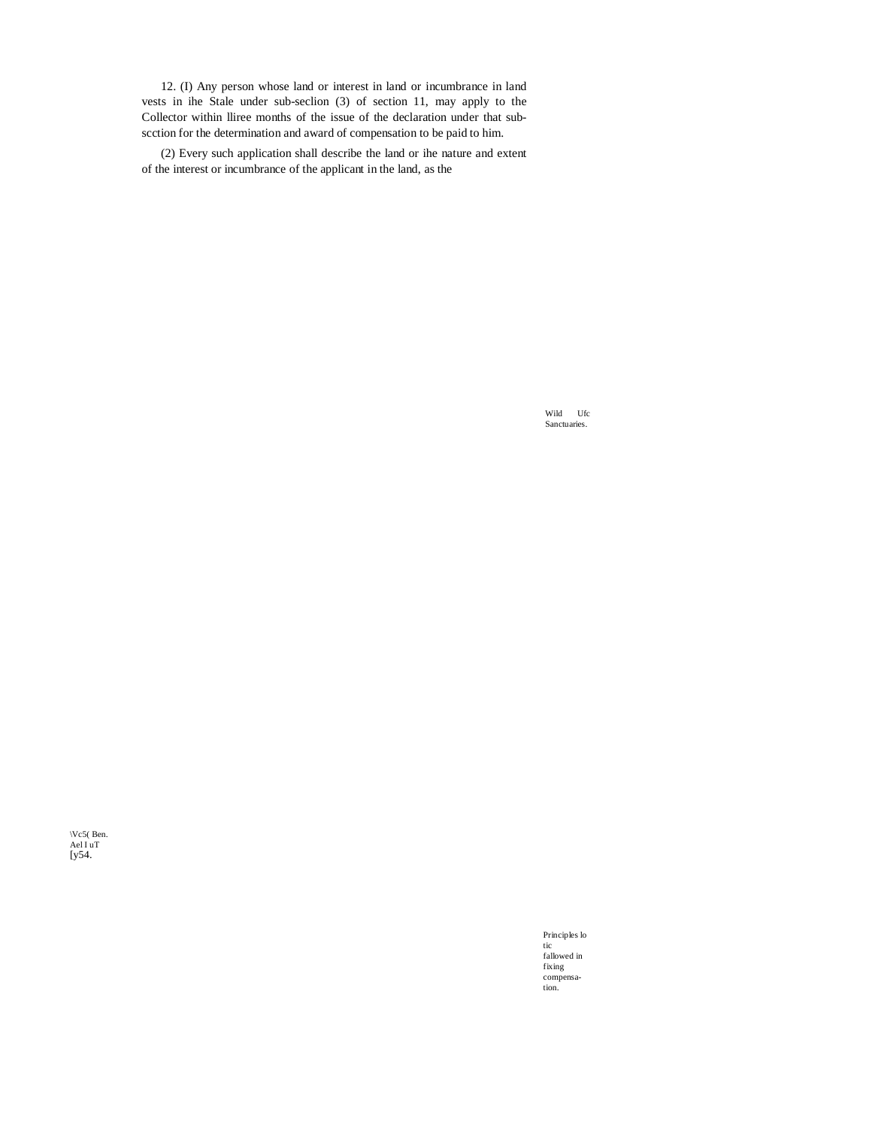12. (I) Any person whose land or interest in land or incumbrance in land vests in ihe Stale under sub-seclion (3) of section 11, may apply to the Collector within Iliree months of the issue of the declaration under that subscction for the determination and award of compensation to be paid to him.

(2) Every such application shall describe the land or ihe nature and extent of the interest or incumbrance of the applicant in the land, as the

> Wild Ufc Sanctuaries.

\Vc5(Ben.  $Ael I uT$ <br>[y54.

> Principles lo tic fallowed in fixing<br>compensation.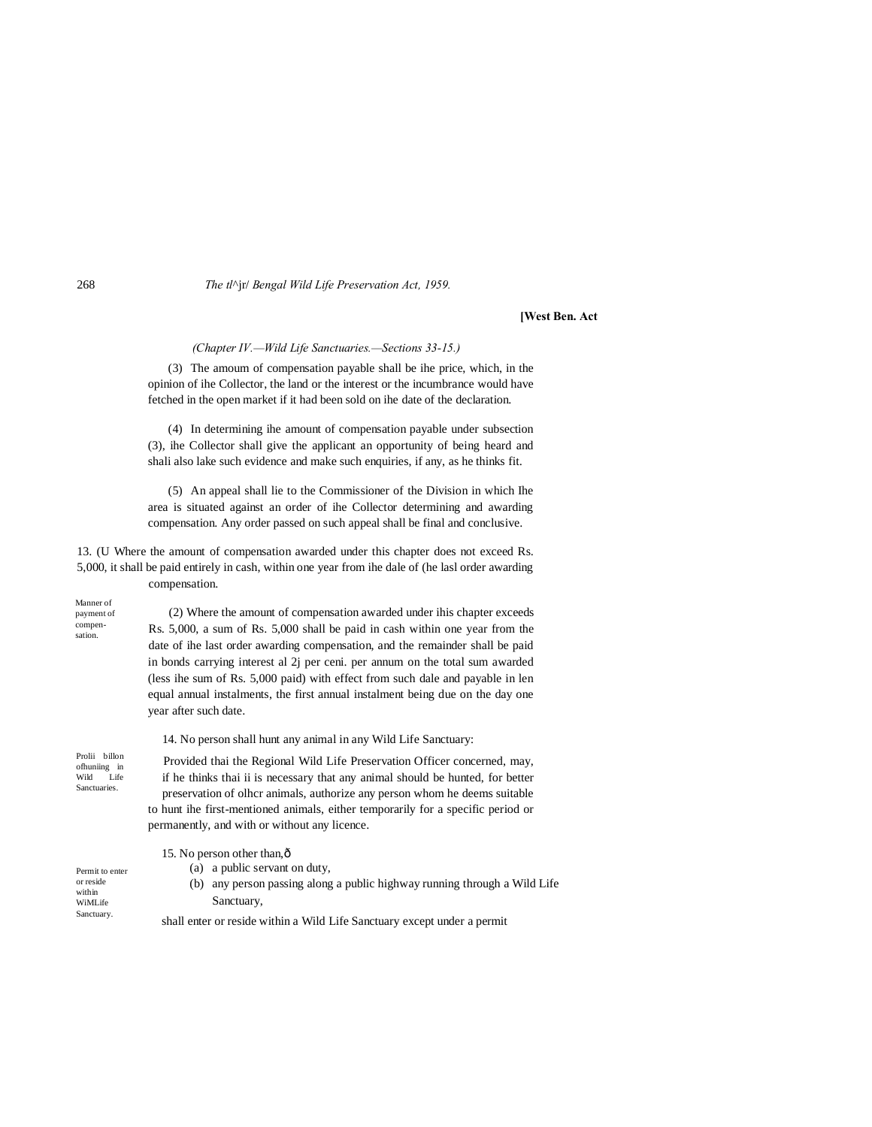#### **[West Ben. Act**

*(Chapter IV.—Wild Life Sanctuaries.—Sections 33-15.)*

(3) The amoum of compensation payable shall be ihe price, which, in the opinion of ihe Collector, the land or the interest or the incumbrance would have fetched in the open market if it had been sold on ihe date of the declaration.

(4) In determining ihe amount of compensation payable under subsection (3), ihe Collector shall give the applicant an opportunity of being heard and shali also lake such evidence and make such enquiries, if any, as he thinks fit.

(5) An appeal shall lie to the Commissioner of the Division in which Ihe area is situated against an order of ihe Collector determining and awarding compensation. Any order passed on such appeal shall be final and conclusive.

13. (U Where the amount of compensation awarded under this chapter does not exceed Rs. 5,000, it shall be paid entirely in cash, within one year from ihe dale of (he lasl order awarding compensation.

payment of compensation.

Manner of

(2) Where the amount of compensation awarded under ihis chapter exceeds Rs. 5,000, a sum of Rs. 5,000 shall be paid in cash within one year from the date of ihe last order awarding compensation, and the remainder shall be paid in bonds carrying interest al 2j per ceni. per annum on the total sum awarded (less ihe sum of Rs. 5,000 paid) with effect from such dale and payable in len equal annual instalments, the first annual instalment being due on the day one year after such date.

14. No person shall hunt any animal in any Wild Life Sanctuary:

Prolii billon ofhuniing in Wild **Sanctuaries** 

Permit to enter or reside within WiMLife **Sanctuary** 

Provided thai the Regional Wild Life Preservation Officer concerned, may, if he thinks thai ii is necessary that any animal should be hunted, for better preservation of olhcr animals, authorize any person whom he deems suitable to hunt ihe first-mentioned animals, either temporarily for a specific period or permanently, and with or without any licence.

15. No person other than, $\hat{o}$ 

(a) a public servant on duty,

(b) any person passing along a public highway running through a Wild Life Sanctuary,

shall enter or reside within a Wild Life Sanctuary except under a permit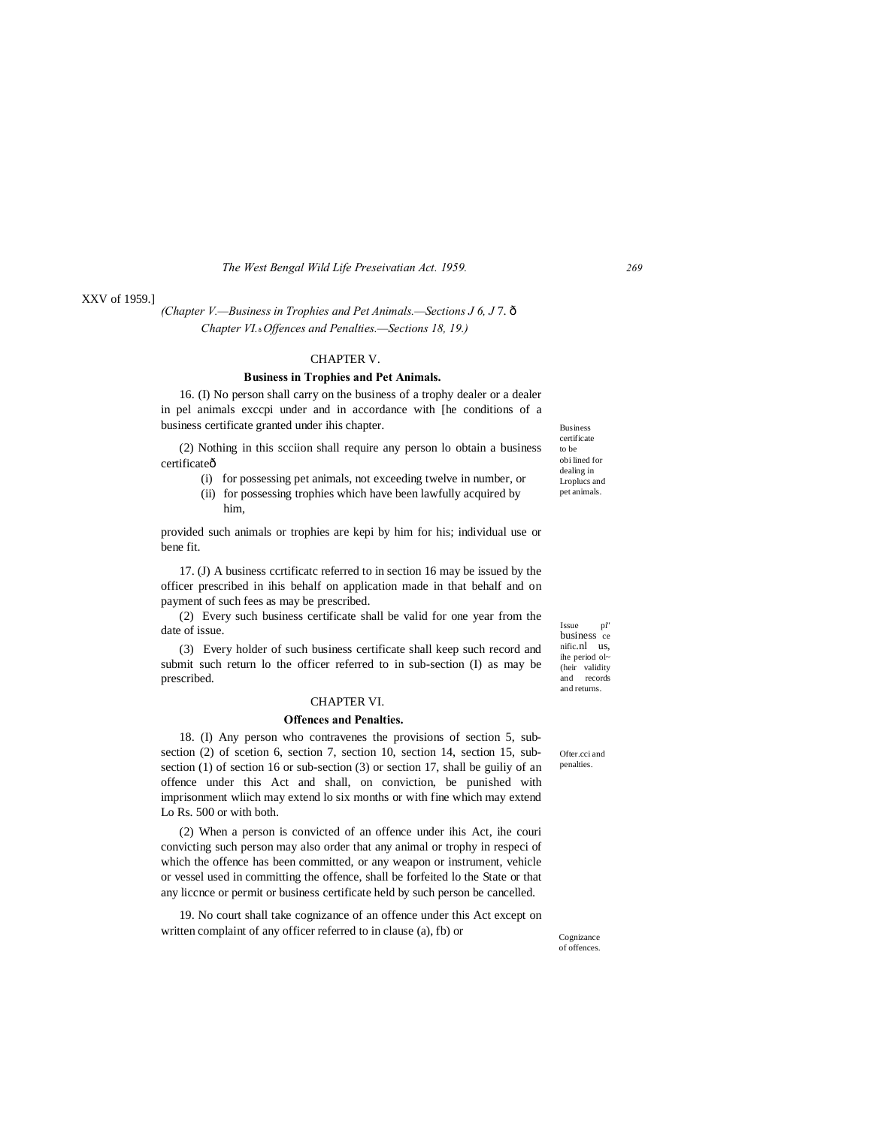#### XXV of 1959.]

*(Chapter V.—Business in Trophies and Pet Animals.—Sections J 6, J* 7. — *Chapter VI.*—*Offences and Penalties.—Sections 18, 19.)*

#### CHAPTER V.

#### **Business in Trophies and Pet Animals.**

16. (I) No person shall carry on the business of a trophy dealer or a dealer in pel animals exccpi under and in accordance with [he conditions of a business certificate granted under ihis chapter.

(2) Nothing in this scciion shall require any person lo obtain a business certificateô

- (i) for possessing pet animals, not exceeding twelve in number, or
- (ii) for possessing trophies which have been lawfully acquired by him,

provided such animals or trophies are kepi by him for his; individual use or bene fit.

17. (J) A business ccrtificatc referred to in section 16 may be issued by the officer prescribed in ihis behalf on application made in that behalf and on payment of such fees as may be prescribed.

(2) Every such business certificate shall be valid for one year from the date of issue.

(3) Every holder of such business certificate shall keep such record and submit such return lo the officer referred to in sub-section (I) as may be prescribed.

#### CHAPTER VI.

#### **Offences and Penalties.**

18. (I) Any person who contravenes the provisions of section 5, subsection (2) of scetion 6, section 7, section 10, section 14, section 15, subsection (1) of section 16 or sub-section (3) or section 17, shall be guiliy of an offence under this Act and shall, on conviction, be punished with imprisonment wliich may extend lo six months or with fine which may extend Lo Rs. 500 or with both.

(2) When a person is convicted of an offence under ihis Act, ihe couri convicting such person may also order that any animal or trophy in respeci of which the offence has been committed, or any weapon or instrument, vehicle or vessel used in committing the offence, shall be forfeited lo the State or that any liccnce or permit or business certificate held by such person be cancelled.

19. No court shall take cognizance of an offence under this Act except on written complaint of any officer referred to in clause (a), fb) or

Issue pi" business ce nific.nl us, ihe period ol~ (heir validity and records and returns.

Business certificate to be obi lined for dealing in Lroplucs and pet animals.

Ofter cci and penalties.

Cognizance of offences.

*269*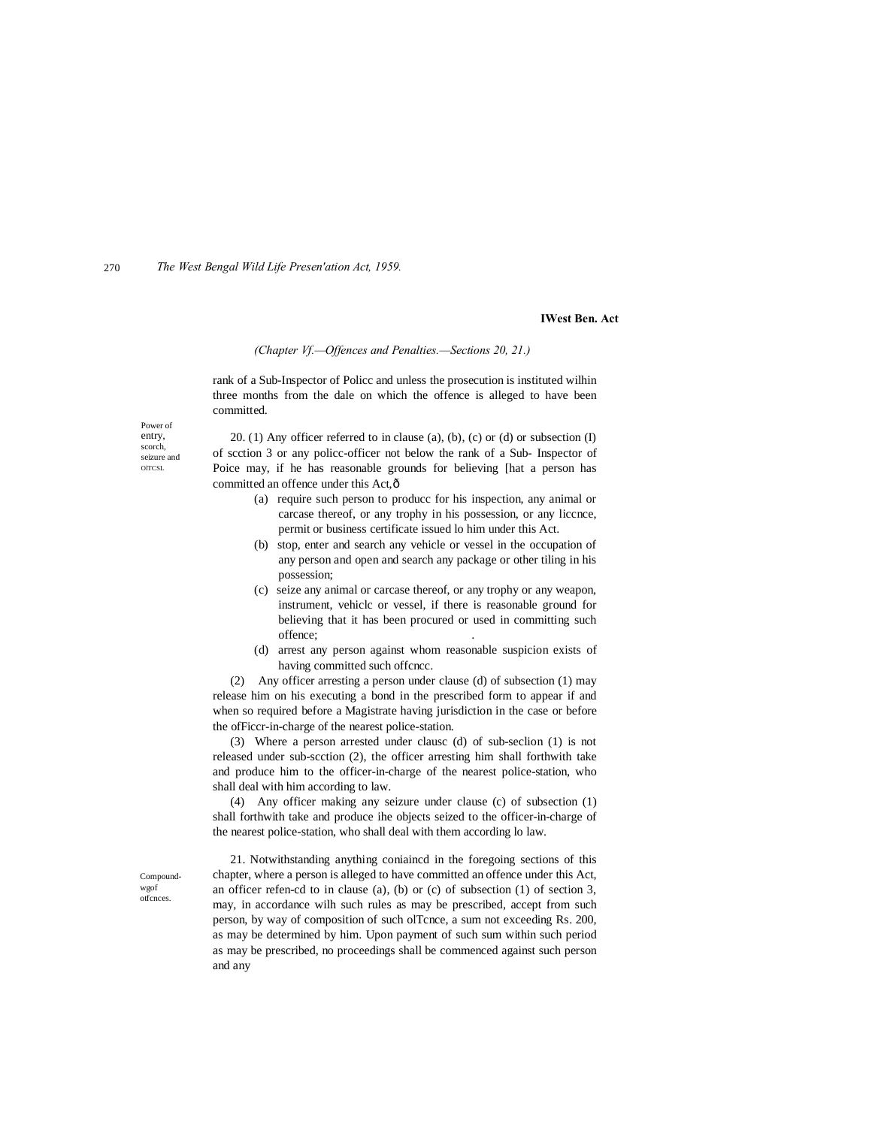#### **IWest Ben. Act**

#### *(Chapter Vf.—Offences and Penalties.—Sections 20, 21.)*

rank of a Sub-Inspector of Policc and unless the prosecution is instituted wilhin three months from the dale on which the offence is alleged to have been committed.

Power of entry, scorch, seizure and **OLTCSL** 

20. (1) Any officer referred to in clause (a), (b), (c) or (d) or subsection (I) of scction 3 or any policc-officer not below the rank of a Sub- Inspector of Poice may, if he has reasonable grounds for believing [hat a person has committed an offence under this Act, ô

- (a) require such person to producc for his inspection, any animal or carcase thereof, or any trophy in his possession, or any liccnce, permit or business certificate issued lo him under this Act.
- (b) stop, enter and search any vehicle or vessel in the occupation of any person and open and search any package or other tiling in his possession;
- (c) seize any animal or carcase thereof, or any trophy or any weapon, instrument, vehiclc or vessel, if there is reasonable ground for believing that it has been procured or used in committing such offence; .
- (d) arrest any person against whom reasonable suspicion exists of having committed such offcncc.

(2) Any officer arresting a person under clause (d) of subsection (1) may release him on his executing a bond in the prescribed form to appear if and when so required before a Magistrate having jurisdiction in the case or before the ofFiccr-in-charge of the nearest police-station.

(3) Where a person arrested under clausc (d) of sub-seclion (1) is not released under sub-scction (2), the officer arresting him shall forthwith take and produce him to the officer-in-charge of the nearest police-station, who shall deal with him according to law.

(4) Any officer making any seizure under clause (c) of subsection (1) shall forthwith take and produce ihe objects seized to the officer-in-charge of the nearest police-station, who shall deal with them according lo law.

Compoundwgof otfcnces.

21. Notwithstanding anything coniaincd in the foregoing sections of this chapter, where a person is alleged to have committed an offence under this Act, an officer refen-cd to in clause (a), (b) or (c) of subsection (1) of section 3, may, in accordance wilh such rules as may be prescribed, accept from such person, by way of composition of such olTcnce, a sum not exceeding Rs. 200, as may be determined by him. Upon payment of such sum within such period as may be prescribed, no proceedings shall be commenced against such person and any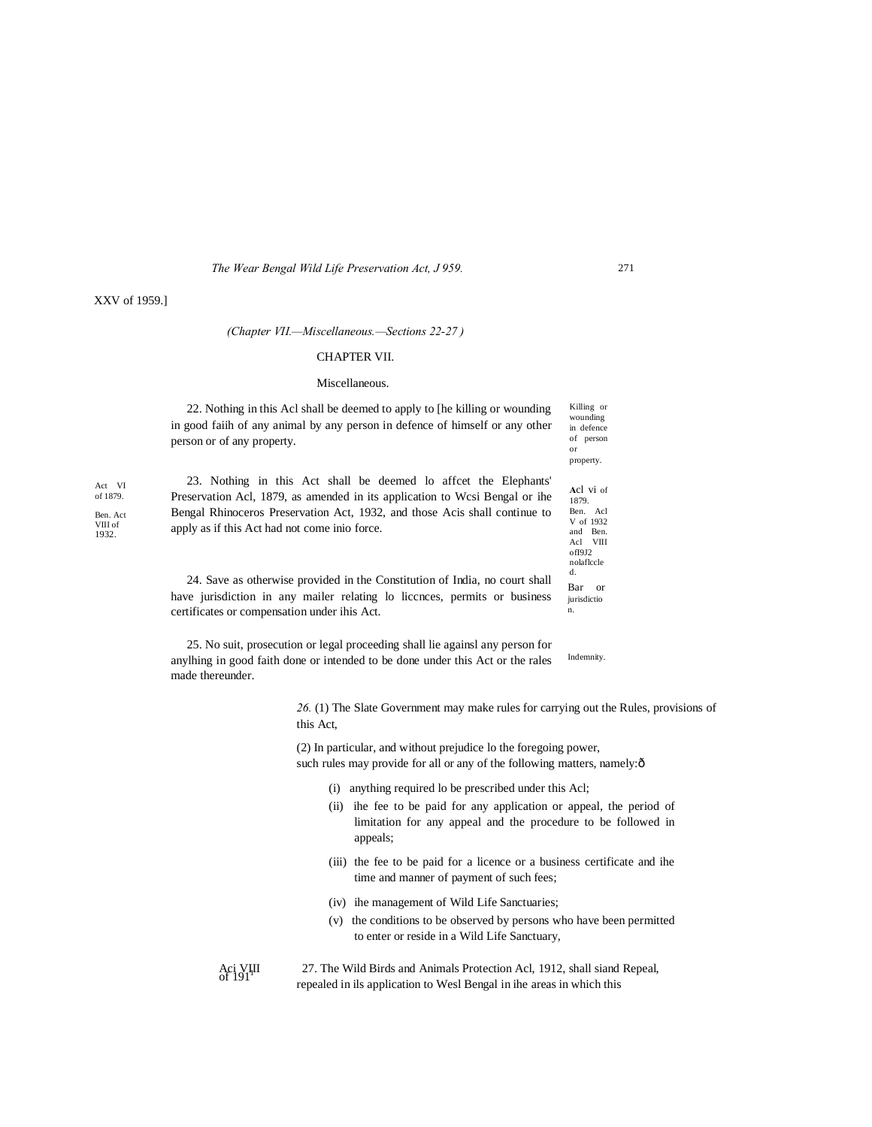#### XXV of 1959.]

Act VI of 1879. Ben. Act VIII of 1932.

#### *(Chapter VII.—Miscellaneous.—Sections 22-27 )*

#### CHAPTER VII.

#### Miscellaneous.

22. Nothing in this Acl shall be deemed to apply to [he killing or wounding in good faiih of any animal by any person in defence of himself or any other person or of any property.

23. Nothing in this Act shall be deemed lo affcet the Elephants' Preservation Acl, 1879, as amended in its application to Wcsi Bengal or ihe Bengal Rhinoceros Preservation Act, 1932, and those Acis shall continue to apply as if this Act had not come inio force.

24. Save as otherwise provided in the Constitution of India, no court shall have jurisdiction in any mailer relating lo liccnces, permits or business certificates or compensation under ihis Act.

Indemnity. 25. No suit, prosecution or legal proceeding shall lie againsl any person for anylhing in good faith done or intended to be done under this Act or the rales made thereunder.

> *26.* (1) The Slate Government may make rules for carrying out the Rules, provisions of this Act,

(2) In particular, and without prejudice lo the foregoing power, such rules may provide for all or any of the following matters, namely: $\delta$ 

- (i) anything required lo be prescribed under this Acl;
- (ii) ihe fee to be paid for any application or appeal, the period of limitation for any appeal and the procedure to be followed in appeals;
- (iii) the fee to be paid for a licence or a business certificate and ihe time and manner of payment of such fees;
- (iv) ihe management of Wild Life Sanctuaries;
- (v) the conditions to be observed by persons who have been permitted to enter or reside in a Wild Life Sanctuary,

Aci VIII 27. The Wild Birds and Animals Protection Acl, 1912, shall siand Repeal, of 191 repealed in ils application to Wesl Bengal in ihe areas in which this

271

Killing or wounding in defence of person or property. **A**cl vi of 1879. Ben. Acl V of 1932 and Ben. Acl VIII ofI9J2 nolaflccle d.

Bar or jurisdictio n.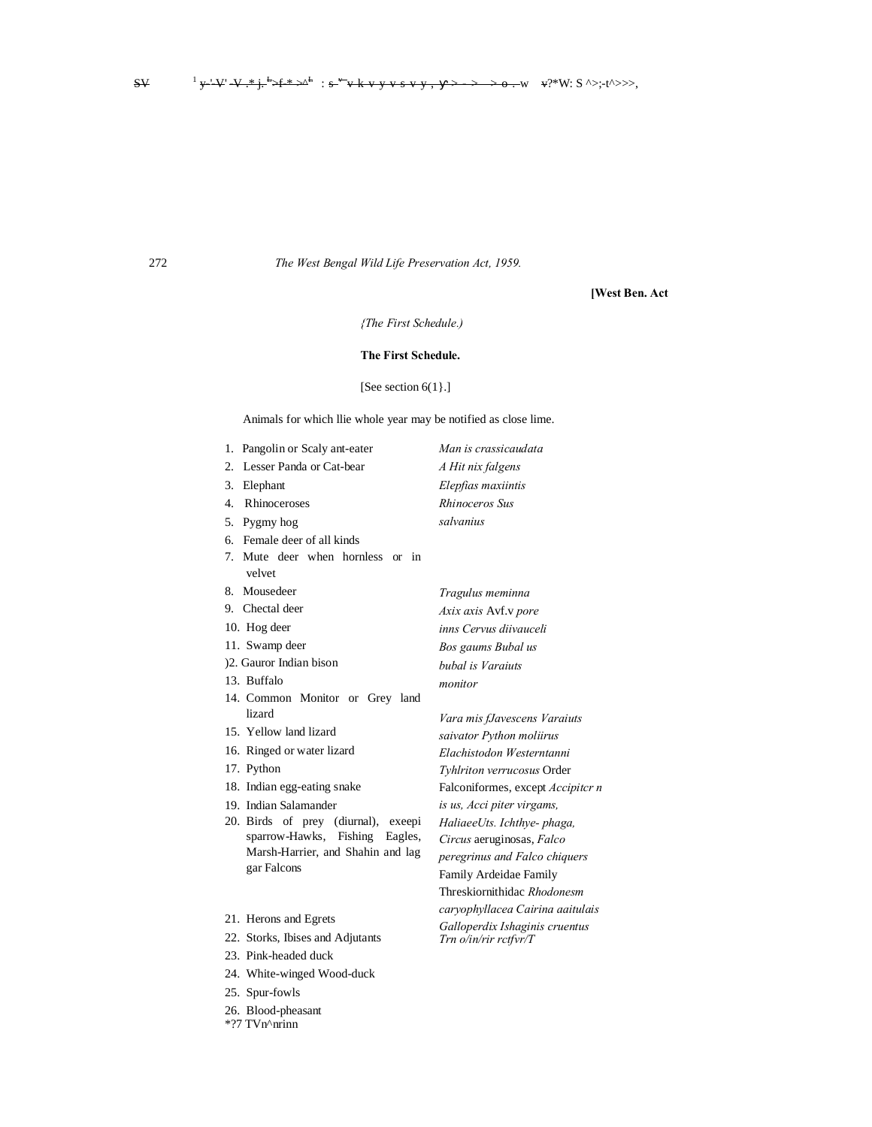### [West Ben. Act

# {The First Schedule.)

## The First Schedule.

## [See section 6(1}.]

Animals for which llie whole year may be notified as close lime.

|                | 1. Pangolin or Scaly ant-eater                           | Man is crassicaudata     |
|----------------|----------------------------------------------------------|--------------------------|
| 2.             | Lesser Panda or Cat-bear                                 | A Hit nix falgens        |
| 3.             | Elephant                                                 | Elepfias maxiintis       |
| $\overline{4}$ | Rhinoceroses                                             | Rhinoceros Sus           |
| 5.             | Pygmy hog                                                | salvanius                |
| 6.             | Female deer of all kinds                                 |                          |
|                | 7. Mute deer when hornless or<br>$\mathbf{in}$<br>velvet |                          |
| 8.             | Mousedeer                                                | Tragulus meminna         |
|                | 9. Chectal deer                                          | Axix axis Avf.v pore     |
|                | 10. Hog deer                                             | inns Cervus diivauceli   |
|                | 11. Swamp deer                                           | Bos gaums Bubal us       |
|                | )2. Gauror Indian bison                                  | bubal is Varaiuts        |
|                | 13. Buffalo                                              | monitor                  |
|                | 14. Common Monitor or Grey land                          |                          |
|                | lizard                                                   | Vara mis fJavescens Vo   |
|                | 15. Yellow land lizard                                   | saivator Python moliiri  |
|                | 16. Ringed or water lizard                               | Elachistodon Westernte   |
|                | 17. Python                                               | Tyhlriton verrucosus O   |
|                | 18. Indian egg-eating snake                              | Falconiformes, except.   |
|                | 19. Indian Salamander                                    | is us, Acci piter virgam |
|                | 20. Birds of prey (diurnal), exeepi                      | HaliaeeUts. Ichthye-pl   |
|                | sparrow-Hawks, Fishing Eagles,                           | Circus aeruginosas, Fa.  |
|                | Marsh-Harrier, and Shahin and lag<br>gar Falcons         | peregrinus and Falco c   |
|                |                                                          | Family Ardeidae Famil    |
|                |                                                          | Threskiornithidac Rhoa   |
|                | $21$ II and an $\overline{1}$ Denote                     | caryophyllacea Cairind   |

- 21. Herons and Egrets
- 22. Storks, Ibises and Adjutants
- 23. Pink-headed duck
- 24. White-winged Wood-duck
- 25. Spur-fowls

272

- 26. Blood-pheasant
- \*?7 TVn^nrinn

araiuts lS. anni rder Accipiter n ıs, haga, lco

chiquers  $\overline{y}$ donesm a aaitulais Galloperdix Ishaginis cruentus Trn o/in/rir rctfvr/T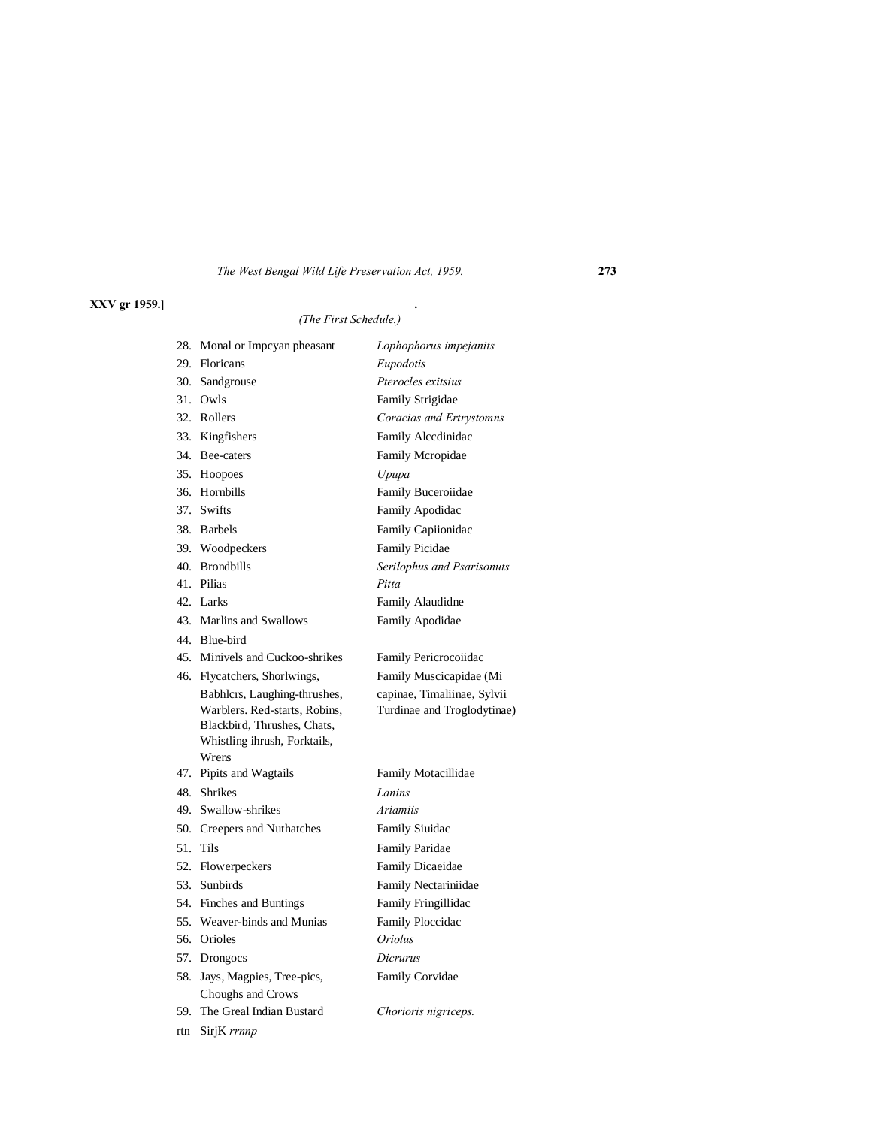# **XXV gr 1959.] .**

# *(The First Schedule.)*

| 28. | Monal or Impcyan pheasant                                                                                                             | Lophophorus impejanits                                     |
|-----|---------------------------------------------------------------------------------------------------------------------------------------|------------------------------------------------------------|
|     | 29. Floricans                                                                                                                         | Eupodotis                                                  |
| 30. | Sandgrouse                                                                                                                            | Pterocles exitsius                                         |
|     | 31. Owls                                                                                                                              | Family Strigidae                                           |
|     | 32. Rollers                                                                                                                           | Coracias and Ertrystomns                                   |
|     | 33. Kingfishers                                                                                                                       | Family Alcedinidae                                         |
|     | 34. Bee-caters                                                                                                                        | Family Mcropidae                                           |
|     | 35. Hoopoes                                                                                                                           | Upupa                                                      |
| 36. | Hornbills                                                                                                                             | Family Buceroiidae                                         |
|     | 37. Swifts                                                                                                                            | Family Apodidac                                            |
|     | 38. Barbels                                                                                                                           | Family Capiionidac                                         |
|     | 39. Woodpeckers                                                                                                                       | <b>Family Picidae</b>                                      |
|     | 40. Brondbills                                                                                                                        | Serilophus and Psarisonuts                                 |
|     | 41. Pilias                                                                                                                            | Pitta                                                      |
|     | 42. Larks                                                                                                                             | Family Alaudidne                                           |
|     | 43. Marlins and Swallows                                                                                                              | Family Apodidae                                            |
|     | 44. Blue-bird                                                                                                                         |                                                            |
|     | 45. Minivels and Cuckoo-shrikes                                                                                                       | Family Pericrocoiidac                                      |
|     | 46. Flycatchers, Shorlwings,                                                                                                          | Family Muscicapidae (Mi                                    |
|     | Babhlcrs, Laughing-thrushes,<br>Warblers. Red-starts, Robins,<br>Blackbird, Thrushes, Chats,<br>Whistling ihrush, Forktails,<br>Wrens | capinae, Timaliinae, Sylvii<br>Turdinae and Troglodytinae) |
|     | 47. Pipits and Wagtails                                                                                                               | Family Motacillidae                                        |
|     | 48. Shrikes                                                                                                                           | Lanins                                                     |
|     | 49. Swallow-shrikes                                                                                                                   | <b>Ariamiis</b>                                            |
|     | 50. Creepers and Nuthatches                                                                                                           | <b>Family Siuidac</b>                                      |
| 51. | Tils                                                                                                                                  | Family Paridae                                             |
|     | 52. Flowerpeckers                                                                                                                     | <b>Family Dicaeidae</b>                                    |
| 53. | Sunbirds                                                                                                                              | Family Nectariniidae                                       |
| 54. | Finches and Buntings                                                                                                                  | Family Fringillidac                                        |
| 55. | Weaver-binds and Munias                                                                                                               | Family Ploccidac                                           |
|     | 56. Orioles                                                                                                                           | <i><b>Oriolus</b></i>                                      |
|     | 57. Drongocs                                                                                                                          | Dicrurus                                                   |
| 58. | Jays, Magpies, Tree-pics,                                                                                                             | Family Corvidae                                            |
|     | Choughs and Crows                                                                                                                     |                                                            |
|     |                                                                                                                                       |                                                            |
|     | 59. The Greal Indian Bustard                                                                                                          | Chorioris nigriceps.                                       |